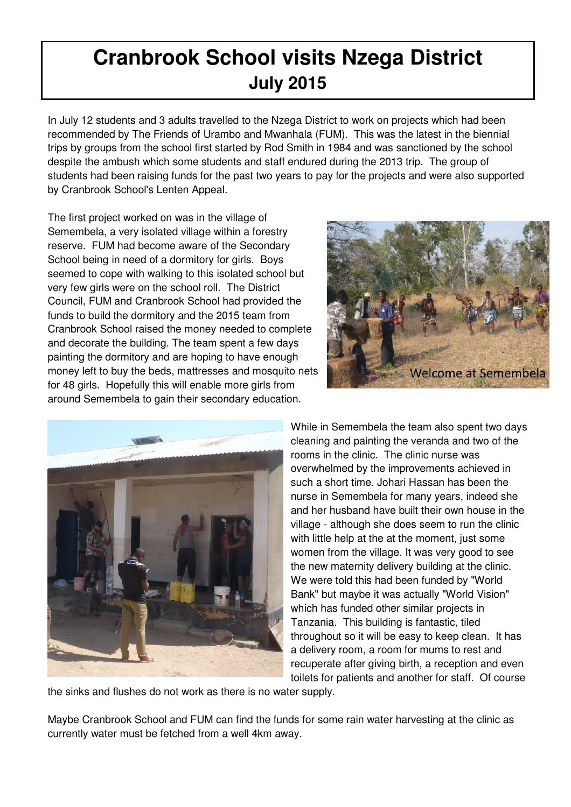## **Cranbrook School visits Nzega District July 2015**

In July 12 students and 3 adults travelled to the Nzega District to work on projects which had been recommended by The Friends of Urambo and Mwanhala (FUM). This was the latest in the biennial trips by groups from the school first started by Rod Smith in 1984 and was sanctioned by the school despite the ambush which some students and staff endured during the 2013 trip. The group of students had been raising funds for the past two years to pay for the projects and were also supported by Cranbrook School's Lenten Appeal.

The first project worked on was in the village of Semembela, a very isolated village within a forestry reserve. FUM had become aware of the Secondary School being in need of a dormitory for girls. Boys seemed to cope with walking to this isolated school but very few girls were on the school roll. The District Council, FUM and Cranbrook School had provided the funds to build the dormitory and the 2015 team from Cranbrook School raised the money needed to complete and decorate the building. The team spent a few days painting the dormitory and are hoping to have enough money left to buy the beds, mattresses and mosquito nets for 48 girls. Hopefully this will enable more girls from around Semembela to gain their secondary education.





While in Semembela the team also spent two days cleaning and painting the veranda and two of the rooms in the clinic. The clinic nurse was overwhelmed by the improvements achieved in such a short time. Johari Hassan has been the nurse in Semembela for many years, indeed she and her husband have built their own house in the village - although she does seem to run the clinic with little help at the at the moment, just some women from the village. It was very good to see the new maternity delivery building at the clinic. We were told this had been funded by "World Bank" but maybe it was actually "World Vision" which has funded other similar projects in Tanzania. This building is fantastic, tiled throughout so it will be easy to keep clean. It has a delivery room, a room for mums to rest and recuperate after giving birth, a reception and even toilets for patients and another for staff. Of course

the sinks and flushes do not work as there is no water supply.

Maybe Cranbrook School and FUM can find the funds for some rain water harvesting at the clinic as currently water must be fetched from a well 4km away.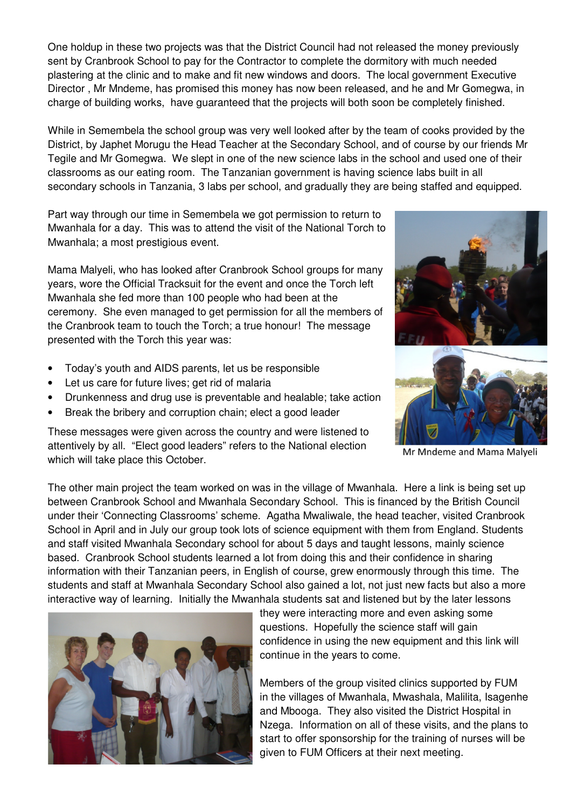One holdup in these two projects was that the District Council had not released the money previously sent by Cranbrook School to pay for the Contractor to complete the dormitory with much needed plastering at the clinic and to make and fit new windows and doors. The local government Executive Director , Mr Mndeme, has promised this money has now been released, and he and Mr Gomegwa, in charge of building works, have guaranteed that the projects will both soon be completely finished.

While in Semembela the school group was very well looked after by the team of cooks provided by the District, by Japhet Morugu the Head Teacher at the Secondary School, and of course by our friends Mr Tegile and Mr Gomegwa. We slept in one of the new science labs in the school and used one of their classrooms as our eating room. The Tanzanian government is having science labs built in all secondary schools in Tanzania, 3 labs per school, and gradually they are being staffed and equipped.

Part way through our time in Semembela we got permission to return to Mwanhala for a day. This was to attend the visit of the National Torch to Mwanhala; a most prestigious event.

Mama Malyeli, who has looked after Cranbrook School groups for many years, wore the Official Tracksuit for the event and once the Torch left Mwanhala she fed more than 100 people who had been at the ceremony. She even managed to get permission for all the members of the Cranbrook team to touch the Torch; a true honour! The message presented with the Torch this year was:

- Today's youth and AIDS parents, let us be responsible
- Let us care for future lives; get rid of malaria
- Drunkenness and drug use is preventable and healable; take action
- Break the bribery and corruption chain; elect a good leader

These messages were given across the country and were listened to attentively by all. "Elect good leaders" refers to the National election which will take place this October.





Mr Mndeme and Mama Malyeli

The other main project the team worked on was in the village of Mwanhala. Here a link is being set up between Cranbrook School and Mwanhala Secondary School. This is financed by the British Council under their 'Connecting Classrooms' scheme. Agatha Mwaliwale, the head teacher, visited Cranbrook School in April and in July our group took lots of science equipment with them from England. Students and staff visited Mwanhala Secondary school for about 5 days and taught lessons, mainly science based. Cranbrook School students learned a lot from doing this and their confidence in sharing information with their Tanzanian peers, in English of course, grew enormously through this time. The students and staff at Mwanhala Secondary School also gained a lot, not just new facts but also a more interactive way of learning. Initially the Mwanhala students sat and listened but by the later lessons



they were interacting more and even asking some questions. Hopefully the science staff will gain confidence in using the new equipment and this link will continue in the years to come.

Members of the group visited clinics supported by FUM in the villages of Mwanhala, Mwashala, Malilita, Isagenhe and Mbooga. They also visited the District Hospital in Nzega. Information on all of these visits, and the plans to start to offer sponsorship for the training of nurses will be given to FUM Officers at their next meeting.